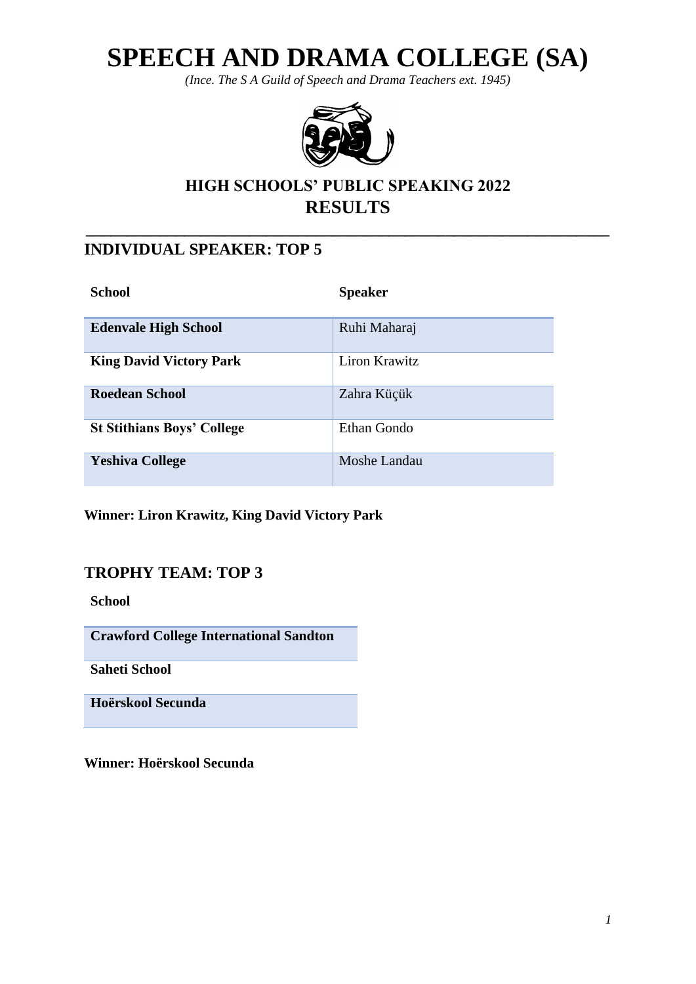# **SPEECH AND DRAMA COLLEGE (SA)**

*(Ince. The S A Guild of Speech and Drama Teachers ext. 1945)*



# **HIGH SCHOOLS' PUBLIC SPEAKING 2022 RESULTS**

**\_\_\_\_\_\_\_\_\_\_\_\_\_\_\_\_\_\_\_\_\_\_\_\_\_\_\_\_\_\_\_\_\_\_\_\_\_\_\_\_\_\_\_\_\_\_\_\_\_\_\_\_\_\_\_\_\_\_\_\_\_\_\_\_**

## **INDIVIDUAL SPEAKER: TOP 5**

| <b>School</b>                     | <b>Speaker</b> |
|-----------------------------------|----------------|
| <b>Edenvale High School</b>       | Ruhi Maharaj   |
| <b>King David Victory Park</b>    | Liron Krawitz  |
| <b>Roedean School</b>             | Zahra Küçük    |
| <b>St Stithians Boys' College</b> | Ethan Gondo    |
| <b>Yeshiva College</b>            | Moshe Landau   |

**Winner: Liron Krawitz, King David Victory Park**

## **TROPHY TEAM: TOP 3**

**School**

**Crawford College International Sandton**

**Saheti School**

**Hoërskool Secunda**

**Winner: Hoërskool Secunda**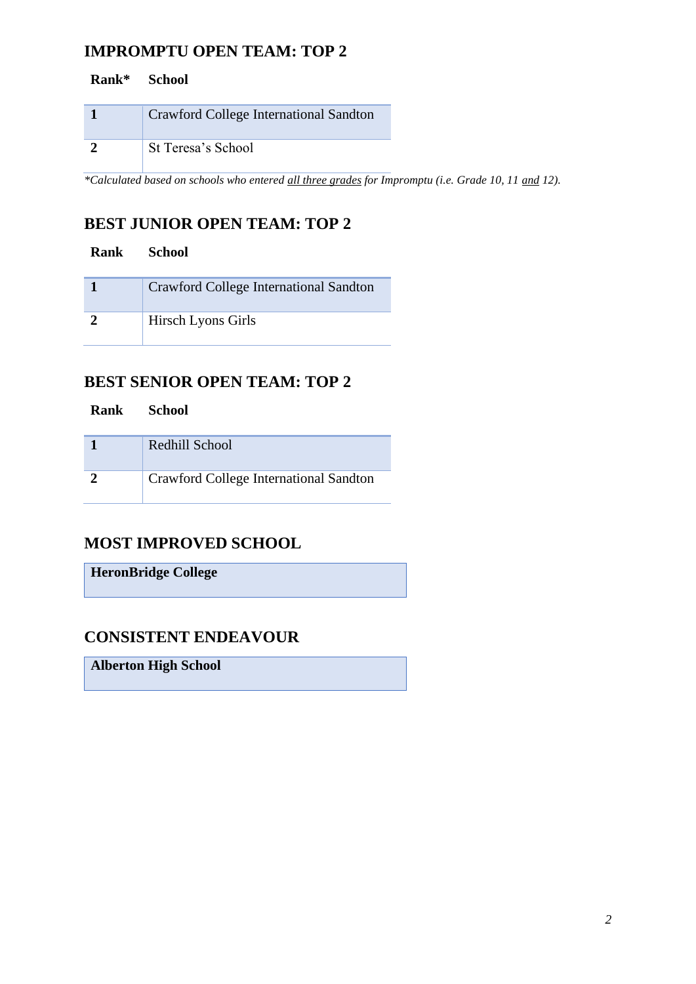## **IMPROMPTU OPEN TEAM: TOP 2**

| Rank* | <b>School</b>                                 |  |
|-------|-----------------------------------------------|--|
|       | <b>Crawford College International Sandton</b> |  |
|       | St Teresa's School                            |  |

*\*Calculated based on schools who entered all three grades for Impromptu (i.e. Grade 10, 11 and 12).*

# **BEST JUNIOR OPEN TEAM: TOP 2**

| Rank School |                                        |
|-------------|----------------------------------------|
|             | Crawford College International Sandton |
|             | Hirsch Lyons Girls                     |

#### **BEST SENIOR OPEN TEAM: TOP 2**

| Rank | <b>School</b>                          |
|------|----------------------------------------|
|      | Redhill School                         |
|      | Crawford College International Sandton |

## **MOST IMPROVED SCHOOL**

**HeronBridge College**

# **CONSISTENT ENDEAVOUR**

**Alberton High School**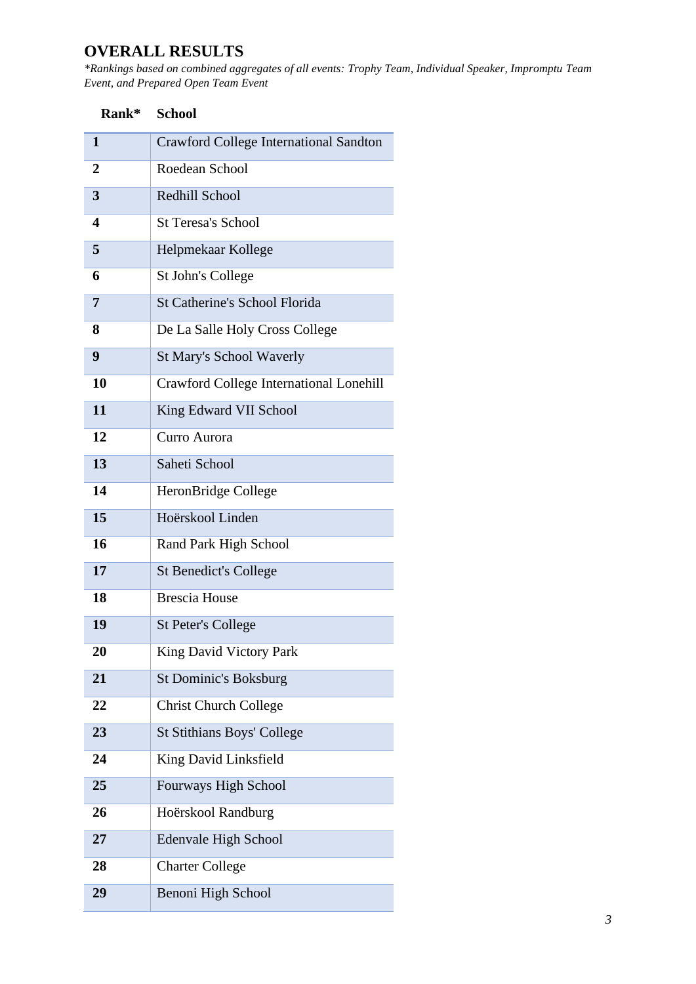# **OVERALL RESULTS**

*\*Rankings based on combined aggregates of all events: Trophy Team, Individual Speaker, Impromptu Team Event, and Prepared Open Team Event*

| Rank*          | <b>School</b>                           |
|----------------|-----------------------------------------|
| 1              | Crawford College International Sandton  |
| 2              | Roedean School                          |
| 3              | Redhill School                          |
| 4              | <b>St Teresa's School</b>               |
| 5              | Helpmekaar Kollege                      |
| 6              | St John's College                       |
| $\overline{7}$ | <b>St Catherine's School Florida</b>    |
| 8              | De La Salle Holy Cross College          |
| 9              | <b>St Mary's School Waverly</b>         |
| 10             | Crawford College International Lonehill |
| 11             | King Edward VII School                  |
| 12             | Curro Aurora                            |
| 13             | Saheti School                           |
| 14             | HeronBridge College                     |
| 15             | Hoërskool Linden                        |
| 16             | Rand Park High School                   |
| 17             | <b>St Benedict's College</b>            |
| 18             | <b>Brescia House</b>                    |
| 19             | <b>St Peter's College</b>               |
| 20             | King David Victory Park                 |
| 21             | <b>St Dominic's Boksburg</b>            |
| 22             | <b>Christ Church College</b>            |
| 23             | <b>St Stithians Boys' College</b>       |
| 24             | King David Linksfield                   |
| 25             | Fourways High School                    |
| 26             | Hoërskool Randburg                      |
| 27             | <b>Edenvale High School</b>             |
| 28             | <b>Charter College</b>                  |
| 29             | Benoni High School                      |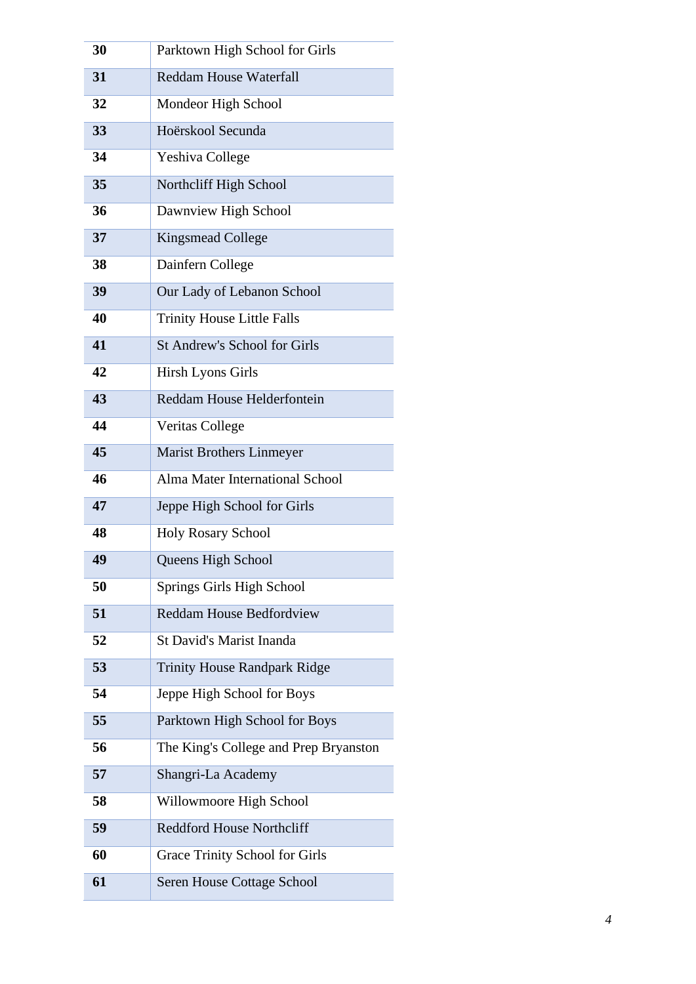| 30 | Parktown High School for Girls        |
|----|---------------------------------------|
| 31 | <b>Reddam House Waterfall</b>         |
| 32 | Mondeor High School                   |
| 33 | Hoërskool Secunda                     |
| 34 | Yeshiva College                       |
| 35 | Northcliff High School                |
| 36 | Dawnview High School                  |
| 37 | Kingsmead College                     |
| 38 | Dainfern College                      |
| 39 | Our Lady of Lebanon School            |
| 40 | <b>Trinity House Little Falls</b>     |
| 41 | <b>St Andrew's School for Girls</b>   |
| 42 | Hirsh Lyons Girls                     |
| 43 | Reddam House Helderfontein            |
| 44 | Veritas College                       |
| 45 | <b>Marist Brothers Linmeyer</b>       |
| 46 | Alma Mater International School       |
| 47 | Jeppe High School for Girls           |
| 48 | <b>Holy Rosary School</b>             |
| 49 | Queens High School                    |
| 50 | Springs Girls High School             |
| 51 | <b>Reddam House Bedfordview</b>       |
| 52 | St David's Marist Inanda              |
| 53 | <b>Trinity House Randpark Ridge</b>   |
| 54 | Jeppe High School for Boys            |
| 55 | Parktown High School for Boys         |
| 56 | The King's College and Prep Bryanston |
| 57 | Shangri-La Academy                    |
| 58 | Willowmoore High School               |
| 59 | <b>Reddford House Northcliff</b>      |
| 60 | <b>Grace Trinity School for Girls</b> |
| 61 | Seren House Cottage School            |